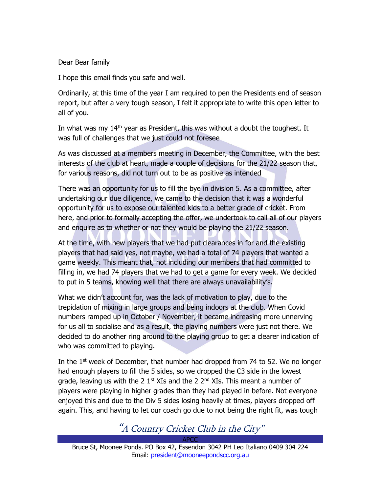#### Dear Bear family

I hope this email finds you safe and well.

Ordinarily, at this time of the year I am required to pen the Presidents end of season report, but after a very tough season, I felt it appropriate to write this open letter to all of you.

In what was my  $14<sup>th</sup>$  year as President, this was without a doubt the toughest. It was full of challenges that we just could not foresee

As was discussed at a members meeting in December, the Committee, with the best interests of the club at heart, made a couple of decisions for the 21/22 season that, for various reasons, did not turn out to be as positive as intended

There was an opportunity for us to fill the bye in division 5. As a committee, after undertaking our due diligence, we came to the decision that it was a wonderful opportunity for us to expose our talented kids to a better grade of cricket. From here, and prior to formally accepting the offer, we undertook to call all of our players and enquire as to whether or not they would be playing the 21/22 season.

At the time, with new players that we had put clearances in for and the existing players that had said yes, not maybe, we had a total of 74 players that wanted a game weekly. This meant that, not including our members that had committed to filling in, we had 74 players that we had to get a game for every week. We decided to put in 5 teams, knowing well that there are always unavailability's.

What we didn't account for, was the lack of motivation to play, due to the trepidation of mixing in large groups and being indoors at the club. When Covid numbers ramped up in October / November, it became increasing more unnerving for us all to socialise and as a result, the playing numbers were just not there. We decided to do another ring around to the playing group to get a clearer indication of who was committed to playing.

In the  $1<sup>st</sup>$  week of December, that number had dropped from 74 to 52. We no longer had enough players to fill the 5 sides, so we dropped the C3 side in the lowest grade, leaving us with the 2  $1<sup>st</sup> XIs$  and the 2  $2<sup>nd</sup> XIs$ . This meant a number of players were playing in higher grades than they had played in before. Not everyone enjoyed this and due to the Div 5 sides losing heavily at times, players dropped off again. This, and having to let our coach go due to not being the right fit, was tough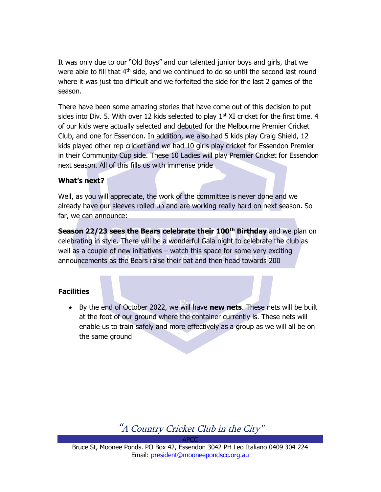It was only due to our "Old Boys" and our talented junior boys and girls, that we were able to fill that  $4<sup>th</sup>$  side, and we continued to do so until the second last round where it was just too difficult and we forfeited the side for the last 2 games of the season.

There have been some amazing stories that have come out of this decision to put sides into Div. 5. With over 12 kids selected to play  $1<sup>st</sup>$  XI cricket for the first time. 4 of our kids were actually selected and debuted for the Melbourne Premier Cricket Club, and one for Essendon. In addition, we also had 5 kids play Craig Shield, 12 kids played other rep cricket and we had 10 girls play cricket for Essendon Premier in their Community Cup side. These 10 Ladies will play Premier Cricket for Essendon next season. All of this fills us with immense pride

#### What's next?

Well, as you will appreciate, the work of the committee is never done and we already have our sleeves rolled up and are working really hard on next season. So far, we can announce:

Season 22/23 sees the Bears celebrate their 100<sup>th</sup> Birthday and we plan on celebrating in style. There will be a wonderful Gala night to celebrate the club as well as a couple of new initiatives – watch this space for some very exciting announcements as the Bears raise their bat and then head towards 200

#### **Facilities**

• By the end of October 2022, we will have new nets. These nets will be built at the foot of our ground where the container currently is. These nets will enable us to train safely and more effectively as a group as we will all be on the same ground

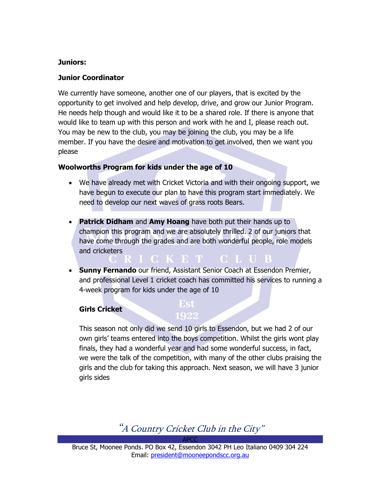#### Juniors:

#### Junior Coordinator

We currently have someone, another one of our players, that is excited by the opportunity to get involved and help develop, drive, and grow our Junior Program. He needs help though and would like it to be a shared role. If there is anyone that would like to team up with this person and work with he and I, please reach out. You may be new to the club, you may be joining the club, you may be a life member. If you have the desire and motivation to get involved, then we want you please

#### Woolworths Program for kids under the age of 10

- We have already met with Cricket Victoria and with their ongoing support, we have begun to execute our plan to have this program start immediately. We need to develop our next waves of grass roots Bears.
- Patrick Didham and Amy Hoang have both put their hands up to champion this program and we are absolutely thrilled. 2 of our juniors that have come through the grades and are both wonderful people, role models and cricketers **CLUB**

ICKET.

• Sunny Fernando our friend, Assistant Senior Coach at Essendon Premier, and professional Level 1 cricket coach has committed his services to running a 4-week program for kids under the age of 10

#### Girls Cricket

# Est

This season not only did we send 10 girls to Essendon, but we had 2 of our own girls' teams entered into the boys competition. Whilst the girls wont play finals, they had a wonderful year and had some wonderful success, in fact, we were the talk of the competition, with many of the other clubs praising the girls and the club for taking this approach. Next season, we will have 3 junior girls sides

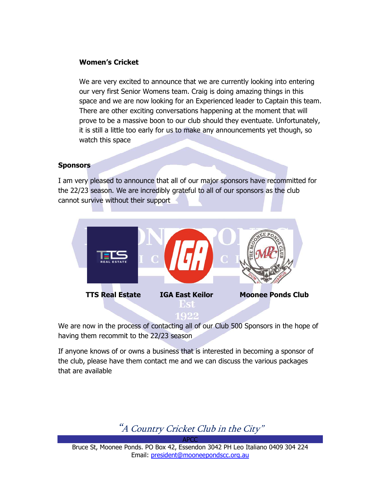#### Women's Cricket

We are very excited to announce that we are currently looking into entering our very first Senior Womens team. Craig is doing amazing things in this space and we are now looking for an Experienced leader to Captain this team. There are other exciting conversations happening at the moment that will prove to be a massive boon to our club should they eventuate. Unfortunately, it is still a little too early for us to make any announcements yet though, so watch this space

#### **Sponsors**

I am very pleased to announce that all of our major sponsors have recommitted for the 22/23 season. We are incredibly grateful to all of our sponsors as the club cannot survive without their support



We are now in the process of contacting all of our Club 500 Sponsors in the hope of having them recommit to the 22/23 season

If anyone knows of or owns a business that is interested in becoming a sponsor of the club, please have them contact me and we can discuss the various packages that are available



Bruce St, Moonee Ponds. PO Box 42, Essendon 3042 PH Leo Italiano 0409 304 224 Email: president@mooneepondscc.org.au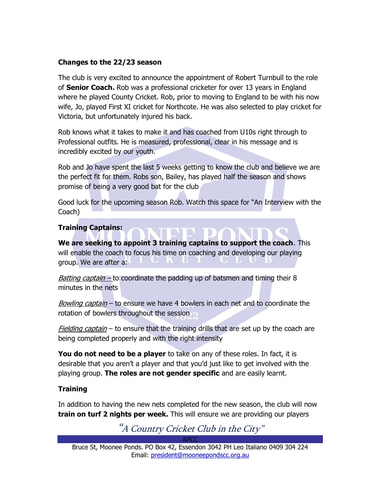#### Changes to the 22/23 season

The club is very excited to announce the appointment of Robert Turnbull to the role of **Senior Coach.** Rob was a professional cricketer for over 13 years in England where he played County Cricket. Rob, prior to moving to England to be with his now wife, Jo, played First XI cricket for Northcote. He was also selected to play cricket for Victoria, but unfortunately injured his back.

Rob knows what it takes to make it and has coached from U10s right through to Professional outfits. He is measured, professional, clear in his message and is incredibly excited by our youth.

Rob and Jo have spent the last 5 weeks getting to know the club and believe we are the perfect fit for them. Robs son, Bailey, has played half the season and shows promise of being a very good bat for the club

Good luck for the upcoming season Rob. Watch this space for "An Interview with the Coach)

#### Training Captains:

We are seeking to appoint 3 training captains to support the coach. This will enable the coach to focus his time on coaching and developing our playing group. We are after a:

*Batting captain* – to coordinate the padding up of batsmen and timing their 8 minutes in the nets

Bowling captain – to ensure we have 4 bowlers in each net and to coordinate the rotation of bowlers throughout the session

Fielding captain – to ensure that the training drills that are set up by the coach are being completed properly and with the right intensity

**You do not need to be a player** to take on any of these roles. In fact, it is desirable that you aren't a player and that you'd just like to get involved with the playing group. The roles are not gender specific and are easily learnt.

#### **Training**

In addition to having the new nets completed for the new season, the club will now train on turf 2 nights per week. This will ensure we are providing our players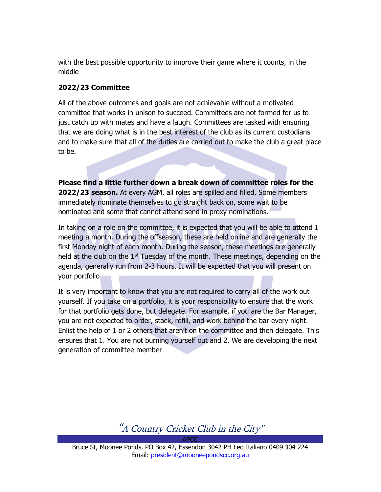with the best possible opportunity to improve their game where it counts, in the middle

#### 2022/23 Committee

All of the above outcomes and goals are not achievable without a motivated committee that works in unison to succeed. Committees are not formed for us to just catch up with mates and have a laugh. Committees are tasked with ensuring that we are doing what is in the best interest of the club as its current custodians and to make sure that all of the duties are carried out to make the club a great place to be.

Please find a little further down a break down of committee roles for the 2022/23 season. At every AGM, all roles are spilled and filled. Some members immediately nominate themselves to go straight back on, some wait to be nominated and some that cannot attend send in proxy nominations.

In taking on a role on the committee, it is expected that you will be able to attend 1 meeting a month. During the offseason, these are held online and are generally the first Monday night of each month. During the season, these meetings are generally held at the club on the  $1<sup>st</sup>$  Tuesday of the month. These meetings, depending on the agenda, generally run from 2-3 hours. It will be expected that you will present on your portfolio

It is very important to know that you are not required to carry all of the work out yourself. If you take on a portfolio, it is your responsibility to ensure that the work for that portfolio gets done, but delegate. For example, if you are the Bar Manager, you are not expected to order, stack, refill, and work behind the bar every night. Enlist the help of 1 or 2 others that aren't on the committee and then delegate. This ensures that 1. You are not burning yourself out and 2. We are developing the next generation of committee member

"A Country Cricket Club in the City"

APCC Bruce St, Moonee Ponds. PO Box 42, Essendon 3042 PH Leo Italiano 0409 304 224 Email: president@mooneepondscc.org.au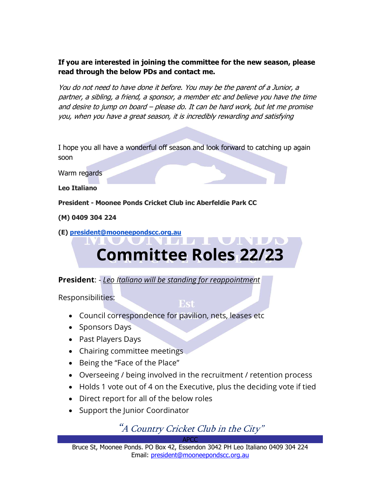If you are interested in joining the committee for the new season, please read through the below PDs and contact me.

You do not need to have done it before. You may be the parent of a Junior, a partner, a sibling, a friend, a sponsor, a member etc and believe you have the time and desire to jump on board – please do. It can be hard work, but let me promise you, when you have a great season, it is incredibly rewarding and satisfying

I hope you all have a wonderful off season and look forward to catching up again soon

Warm regards

Leo Italiano

President - Moonee Ponds Cricket Club inc Aberfeldie Park CC

(M) 0409 304 224

(E) president@mooneepondscc.org.au

# AL NOTE Committee Roles 22/23

**President:** - Leo Italiano will be standing for reappointment

Responsibilities:

#### Est

- Council correspondence for pavilion, nets, leases etc
- Sponsors Days
- Past Players Days
- Chairing committee meetings
- Being the "Face of the Place"
- Overseeing / being involved in the recruitment / retention process
- Holds 1 vote out of 4 on the Executive, plus the deciding vote if tied
- Direct report for all of the below roles
- Support the Junior Coordinator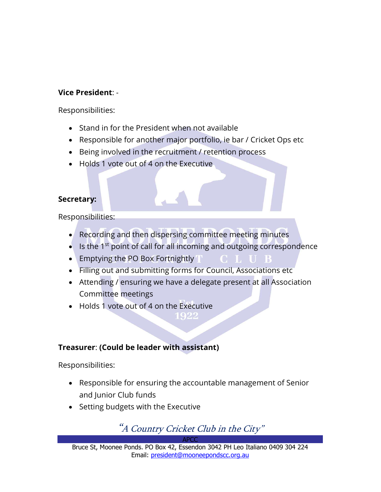## Vice President: -

Responsibilities:

- Stand in for the President when not available
- Responsible for another major portfolio, ie bar / Cricket Ops etc
- Being involved in the recruitment / retention process
- Holds 1 vote out of 4 on the Executive

### Secretary:

Responsibilities:

- Recording and then dispersing committee meeting minutes
- $\bullet$  Is the 1<sup>st</sup> point of call for all incoming and outgoing correspondence

CLUB

- Emptying the PO Box Fortnightly T
- Filling out and submitting forms for Council, Associations etc
- Attending / ensuring we have a delegate present at all Association Committee meetings
- Holds 1 vote out of 4 on the Executive

# Treasurer: (Could be leader with assistant)

Responsibilities:

- Responsible for ensuring the accountable management of Senior and Junior Club funds
- Setting budgets with the Executive

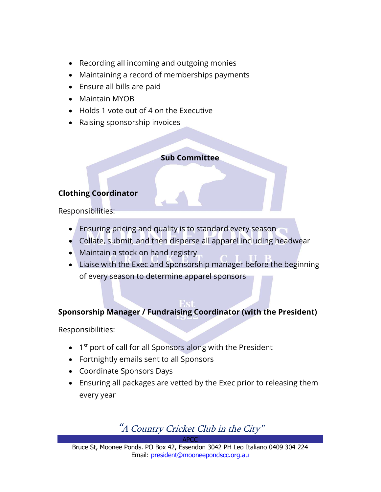- Recording all incoming and outgoing monies
- Maintaining a record of memberships payments
- Ensure all bills are paid
- Maintain MYOB
- Holds 1 vote out of 4 on the Executive
- Raising sponsorship invoices

### Sub Committee

# Clothing Coordinator

Responsibilities:

- Ensuring pricing and quality is to standard every season
- Collate, submit, and then disperse all apparel including headwear
- Maintain a stock on hand registry
- Liaise with the Exec and Sponsorship manager before the beginning of every season to determine apparel sponsors

# Sponsorship Manager / Fundraising Coordinator (with the President)

Responsibilities:

- 1<sup>st</sup> port of call for all Sponsors along with the President
- Fortnightly emails sent to all Sponsors
- Coordinate Sponsors Days
- Ensuring all packages are vetted by the Exec prior to releasing them every year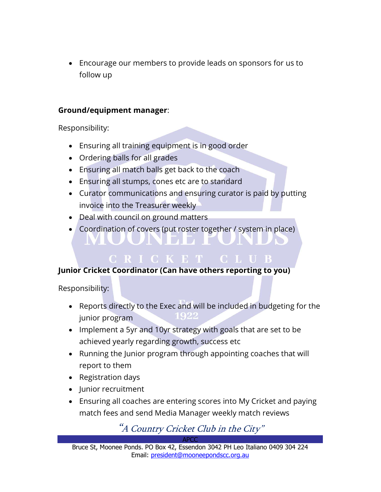Encourage our members to provide leads on sponsors for us to follow up

### Ground/equipment manager:

Responsibility:

- Ensuring all training equipment is in good order
- Ordering balls for all grades
- Ensuring all match balls get back to the coach
- Ensuring all stumps, cones etc are to standard
- Curator communications and ensuring curator is paid by putting invoice into the Treasurer weekly

CRICKET CLUB

• Deal with council on ground matters

NUUNDE F

Coordination of covers (put roster together / system in place)

# Junior Cricket Coordinator (Can have others reporting to you)

Responsibility:

- Reports directly to the Exec and will be included in budgeting for the junior program
- Implement a 5yr and 10yr strategy with goals that are set to be achieved yearly regarding growth, success etc
- Running the Junior program through appointing coaches that will report to them
- Registration days
- Junior recruitment
- Ensuring all coaches are entering scores into My Cricket and paying match fees and send Media Manager weekly match reviews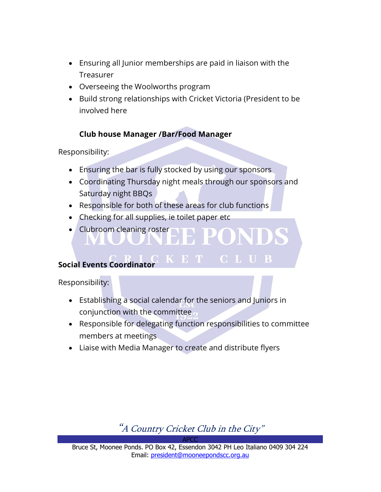- Ensuring all Junior memberships are paid in liaison with the Treasurer
- Overseeing the Woolworths program
- Build strong relationships with Cricket Victoria (President to be involved here

# Club house Manager /Bar/Food Manager

Responsibility:

- Ensuring the bar is fully stocked by using our sponsors
- Coordinating Thursday night meals through our sponsors and Saturday night BBQs
- Responsible for both of these areas for club functions
- Checking for all supplies, ie toilet paper etc
- Clubroom cleaning roster

# Social Events Coordinator

Responsibility:

 Establishing a social calendar for the seniors and Juniors in conjunction with the committee

K E T

**CLUB** 

- Responsible for delegating function responsibilities to committee members at meetings
- Liaise with Media Manager to create and distribute flyers



APCC Bruce St, Moonee Ponds. PO Box 42, Essendon 3042 PH Leo Italiano 0409 304 224 Email: president@mooneepondscc.org.au